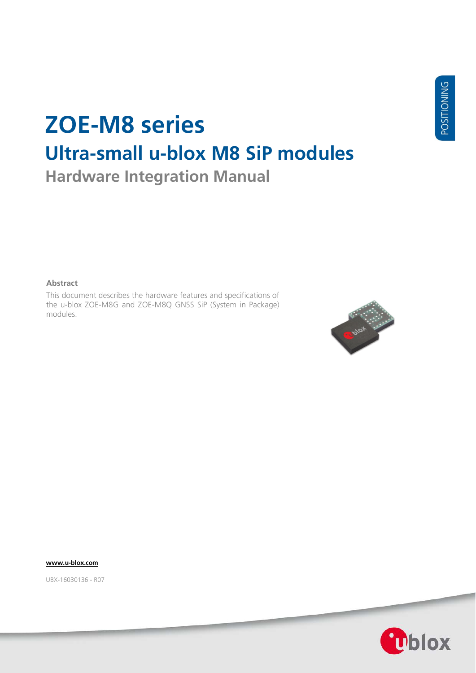# **ZOE-M8 series Ultra-small u-blox M8 SiP modules Hardware Integration Manual**

**Abstract**

This document describes the hardware features and specifications of the u-blox ZOE-M8G and ZOE-M8Q GNSS SiP (System in Package) modules.



**[www.u-blox.com](http://www.u-blox.com/)**

UBX-16030136 - R07

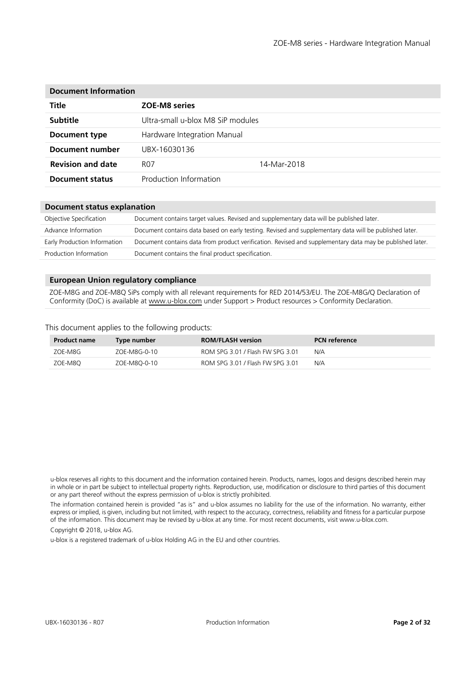| <b>Document Information</b> |                                   |             |  |  |  |
|-----------------------------|-----------------------------------|-------------|--|--|--|
| Title                       | <b>ZOE-M8 series</b>              |             |  |  |  |
| <b>Subtitle</b>             | Ultra-small u-blox M8 SiP modules |             |  |  |  |
| Document type               | Hardware Integration Manual       |             |  |  |  |
| Document number             | UBX-16030136                      |             |  |  |  |
| <b>Revision and date</b>    | R07                               | 14-Mar-2018 |  |  |  |
| Document status             | Production Information            |             |  |  |  |
|                             |                                   |             |  |  |  |

| <b>Document status explanation</b> |                                                                                                          |  |  |  |
|------------------------------------|----------------------------------------------------------------------------------------------------------|--|--|--|
| Objective Specification            | Document contains target values. Revised and supplementary data will be published later.                 |  |  |  |
| Advance Information                | Document contains data based on early testing. Revised and supplementary data will be published later.   |  |  |  |
| Early Production Information       | Document contains data from product verification. Revised and supplementary data may be published later. |  |  |  |
| Production Information             | Document contains the final product specification.                                                       |  |  |  |

#### **European Union regulatory compliance**

ZOE-M8G and ZOE-M8Q SiPs comply with all relevant requirements for RED 2014/53/EU. The ZOE-M8G/Q Declaration of Conformity (DoC) is available at [www.u-blox.com](http://www.u-blox.com/) under Support > Product resources > Conformity Declaration.

#### This document applies to the following products:

| <b>Product name</b> | Type number  | <b>ROM/FLASH version</b>         | <b>PCN</b> reference |
|---------------------|--------------|----------------------------------|----------------------|
| ZOE-M8G             | ZOE-M8G-0-10 | ROM SPG 3.01 / Flash FW SPG 3.01 | N/A                  |
| ZOE-M8Q             | ZOE-M8O-0-10 | ROM SPG 3.01 / Flash FW SPG 3.01 | N/A                  |

u-blox reserves all rights to this document and the information contained herein. Products, names, logos and designs described herein may in whole or in part be subject to intellectual property rights. Reproduction, use, modification or disclosure to third parties of this document or any part thereof without the express permission of u-blox is strictly prohibited.

The information contained herein is provided "as is" and u-blox assumes no liability for the use of the information. No warranty, either express or implied, is given, including but not limited, with respect to the accuracy, correctness, reliability and fitness for a particular purpose of the information. This document may be revised by u-blox at any time. For most recent documents, visit www.u-blox.com.

Copyright © 2018, u-blox AG.

u-blox is a registered trademark of u-blox Holding AG in the EU and other countries.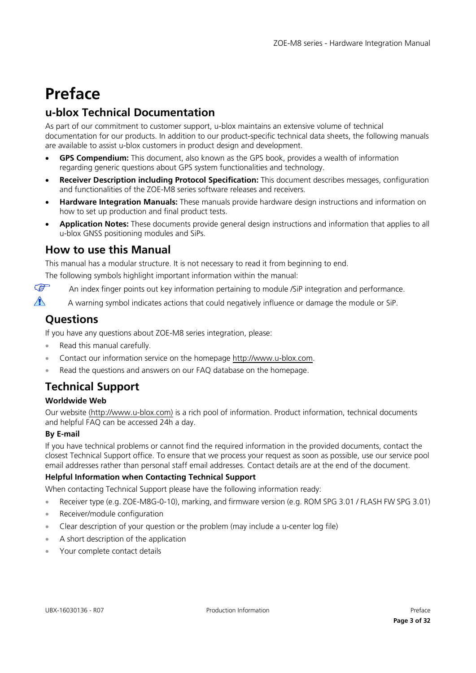# <span id="page-2-0"></span>**Preface**

# **u-blox Technical Documentation**

As part of our commitment to customer support, u-blox maintains an extensive volume of technical documentation for our products. In addition to our product-specific technical data sheets, the following manuals are available to assist u-blox customers in product design and development.

- **GPS Compendium:** This document, also known as the GPS book, provides a wealth of information regarding generic questions about GPS system functionalities and technology.
- **Receiver Description including Protocol Specification:** This document describes messages, configuration and functionalities of the ZOE-M8 series software releases and receivers.
- **Hardware Integration Manuals:** These manuals provide hardware design instructions and information on how to set up production and final product tests.
- **Application Notes:** These documents provide general design instructions and information that applies to all u-blox GNSS positioning modules and SiPs.

## **How to use this Manual**

This manual has a modular structure. It is not necessary to read it from beginning to end.

The following symbols highlight important information within the manual:

 $\mathbb{Q}$ An index finger points out key information pertaining to module /SiP integration and performance.

 $\triangle$ A warning symbol indicates actions that could negatively influence or damage the module or SiP.

# **Questions**

If you have any questions about ZOE-M8 series integration, please:

- Read this manual carefully.
- Contact our information service on the homepage [http://www.u-blox.com.](http://www.u-blox.com/)
- Read the questions and answers on our FAQ database on the homepage.

# **Technical Support**

### **Worldwide Web**

Our website [\(http://www.u-blox.com\)](http://www.u-blox.com/) is a rich pool of information. Product information, technical documents and helpful FAQ can be accessed 24h a day.

### **By E-mail**

If you have technical problems or cannot find the required information in the provided documents, contact the closest Technical Support office. To ensure that we process your request as soon as possible, use our service pool email addresses rather than personal staff email addresses. Contact details are at the end of the document.

### **Helpful Information when Contacting Technical Support**

When contacting Technical Support please have the following information ready:

• Receiver type (e.g. ZOE-M8G-0-10), marking, and firmware version (e.g. ROM SPG 3.01 / FLASH FW SPG 3.01)

- Receiver/module configuration
- Clear description of your question or the problem (may include a u-center log file)
- A short description of the application
- Your complete contact details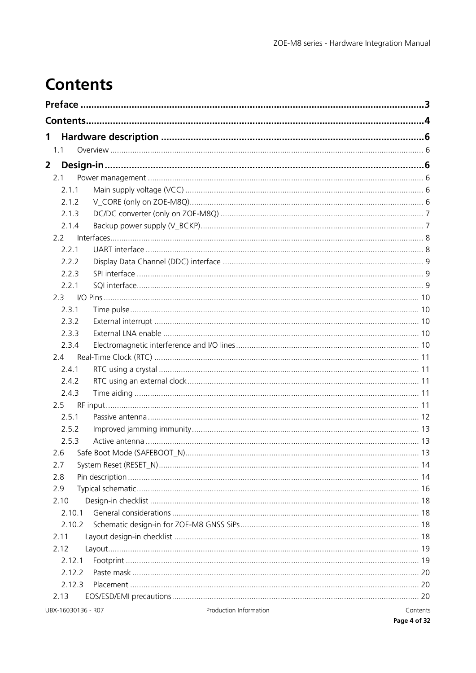# <span id="page-3-0"></span>**Contents**

| 1                  |                        |          |
|--------------------|------------------------|----------|
| 1.1                |                        |          |
| $\overline{2}$     |                        |          |
| 2.1                |                        |          |
| 2.1.1              |                        |          |
| 2.1.2              |                        |          |
| 2.1.3              |                        |          |
| 2.1.4              |                        |          |
| 2.2                |                        |          |
| 2.2.1              |                        |          |
| 2.2.2              |                        |          |
| 2.2.3              |                        |          |
| 2.2.1              |                        |          |
| 2.3                |                        |          |
| 2.3.1              |                        |          |
| 2.3.2              |                        |          |
| 2.3.3              |                        |          |
| 2.3.4              |                        |          |
| 2.4                |                        |          |
| 2.4.1              |                        |          |
| 2.4.2              |                        |          |
| 2.4.3              |                        |          |
| 2.5                |                        |          |
| 2.5.1              |                        |          |
| 2.5.2              |                        |          |
| 2.5.3              |                        |          |
| 2.6                |                        |          |
| 2.7                |                        |          |
| 2.8                |                        |          |
| 2.9                |                        |          |
| 2.10               |                        |          |
| 2.10.1             |                        |          |
| 2.10.2             |                        |          |
| 2.11               |                        |          |
| 2.12               |                        |          |
| 2.12.1             |                        |          |
| 2.12.2             |                        |          |
| 2.12.3             |                        |          |
| 2.13               |                        |          |
| UBX-16030136 - R07 | Production Information | Contents |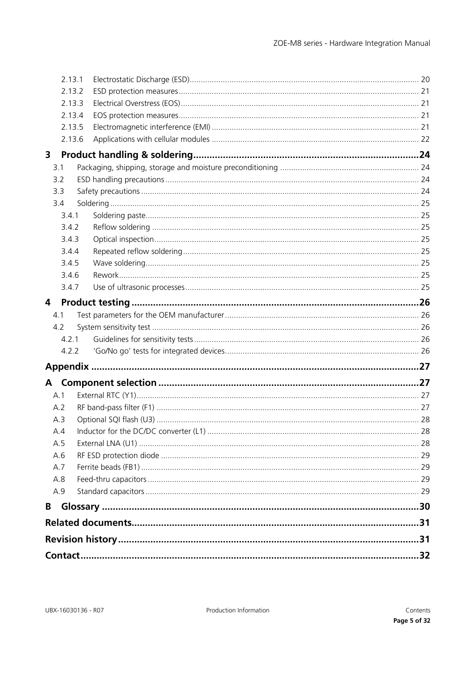|     | 2.13.1 |  |
|-----|--------|--|
|     | 2.13.2 |  |
|     | 2.13.3 |  |
|     | 2.13.4 |  |
|     | 2.13.5 |  |
|     | 2.13.6 |  |
| 3   |        |  |
| 3.1 |        |  |
| 3.2 |        |  |
| 3.3 |        |  |
| 3.4 |        |  |
|     | 3.4.1  |  |
|     | 3.4.2  |  |
|     | 3.4.3  |  |
|     | 3.4.4  |  |
|     | 3.4.5  |  |
|     | 3.4.6  |  |
|     | 3.4.7  |  |
| 4   |        |  |
| 4.1 |        |  |
| 4.2 |        |  |
|     | 4.2.1  |  |
|     | 4.2.2  |  |
|     |        |  |
|     |        |  |
|     |        |  |
| A.1 |        |  |
| A.2 |        |  |
| A.3 |        |  |
| A.4 |        |  |
| A.5 |        |  |
| A.6 |        |  |
| A.7 |        |  |
| A.8 |        |  |
| A.9 |        |  |
| B   |        |  |
|     |        |  |
|     |        |  |
|     |        |  |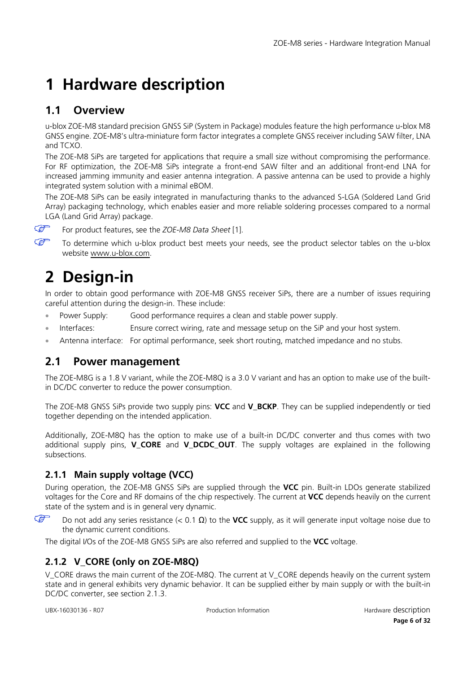# <span id="page-5-0"></span>**1 Hardware description**

# <span id="page-5-1"></span>**1.1 Overview**

u-blox ZOE-M8 standard precision GNSS SiP (System in Package) modules feature the high performance u-blox M8 GNSS engine. ZOE-M8's ultra-miniature form factor integrates a complete GNSS receiver including SAW filter, LNA and TCXO.

The ZOE-M8 SiPs are targeted for applications that require a small size without compromising the performance. For RF optimization, the ZOE-M8 SiPs integrate a front-end SAW filter and an additional front-end LNA for increased jamming immunity and easier antenna integration. A passive antenna can be used to provide a highly integrated system solution with a minimal eBOM.

The ZOE-M8 SiPs can be easily integrated in manufacturing thanks to the advanced S-LGA (Soldered Land Grid Array) packaging technology, which enables easier and more reliable soldering processes compared to a normal LGA (Land Grid Array) package.

 $\mathbb{G}$  $\mathbb{G}$ 

For product features, see the *ZOE-M8 Data Sheet* [\[1\].](#page-30-2)

To determine which u-blox product best meets your needs, see the product selector tables on the u-blox website [www.u-blox.com.](http://www.u-blox.com/)

# <span id="page-5-2"></span>**2 Design-in**

In order to obtain good performance with ZOE-M8 GNSS receiver SiPs, there are a number of issues requiring careful attention during the design-in. These include:

- Power Supply: Good performance requires a clean and stable power supply.
- Interfaces: Ensure correct wiring, rate and message setup on the SiP and your host system.
- Antenna interface: For optimal performance, seek short routing, matched impedance and no stubs.

# <span id="page-5-3"></span>**2.1 Power management**

The ZOE-M8G is a 1.8 V variant, while the ZOE-M8Q is a 3.0 V variant and has an option to make use of the builtin DC/DC converter to reduce the power consumption.

The ZOE-M8 GNSS SiPs provide two supply pins: **VCC** and **V\_BCKP**. They can be supplied independently or tied together depending on the intended application.

Additionally, ZOE-M8Q has the option to make use of a built-in DC/DC converter and thus comes with two additional supply pins, **V\_CORE** and **V\_DCDC\_OUT**. The supply voltages are explained in the following subsections.

# <span id="page-5-4"></span>**2.1.1 Main supply voltage (VCC)**

During operation, the ZOE-M8 GNSS SiPs are supplied through the **VCC** pin. Built-in LDOs generate stabilized voltages for the Core and RF domains of the chip respectively. The current at **VCC** depends heavily on the current state of the system and is in general very dynamic.

 $\mathbb{G}$ Do not add any series resistance (< 0.1 Ω) to the **VCC** supply, as it will generate input voltage noise due to the dynamic current conditions.

The digital I/Os of the ZOE-M8 GNSS SiPs are also referred and supplied to the **VCC** voltage.

# <span id="page-5-5"></span>**2.1.2 V\_CORE (only on ZOE-M8Q)**

V\_CORE draws the main current of the ZOE-M8Q. The current at V\_CORE depends heavily on the current system state and in general exhibits very dynamic behavior. It can be supplied either by main supply or with the built-in DC/DC converter, see section [2.1.3.](#page-6-0)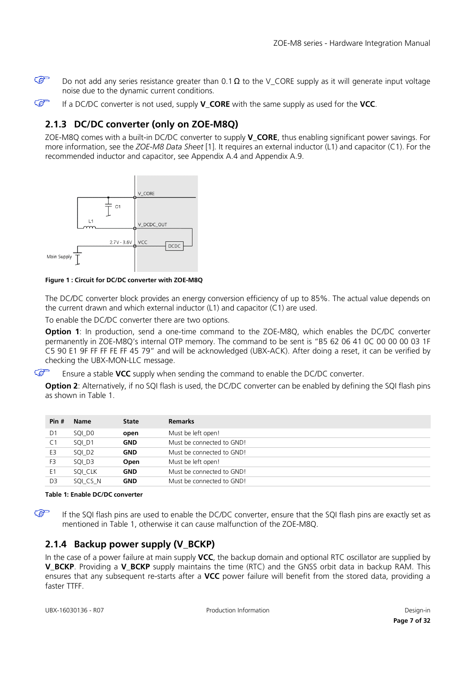$\mathbb{Q}$ 

Do not add any series resistance greater than 0.1  $\Omega$  to the V\_CORE supply as it will generate input voltage noise due to the dynamic current conditions.

**P** If a DC/DC converter is not used, supply **V\_CORE** with the same supply as used for the **VCC**.

## <span id="page-6-0"></span>**2.1.3 DC/DC converter (only on ZOE-M8Q)**

ZOE-M8Q comes with a built-in DC/DC converter to supply **V\_CORE**, thus enabling significant power savings. For more information, see the *ZOE-M8 Data Sheet* [\[1\].](#page-30-2) It requires an external inductor (L1) and capacitor (C1). For the recommended inductor and capacitor, see Appendix [A.4](#page-27-1) and Appendix [A.9.](#page-28-3)



**Figure 1 : Circuit for DC/DC converter with ZOE-M8Q** 

The DC/DC converter block provides an energy conversion efficiency of up to 85%. The actual value depends on the current drawn and which external inductor (L1) and capacitor (C1) are used.

To enable the DC/DC converter there are two options.

**Option 1**: In production, send a one-time command to the ZOE-M8O, which enables the DC/DC converter permanently in ZOE-M8Q's internal OTP memory. The command to be sent is "B5 62 06 41 0C 00 00 00 03 1F C5 90 E1 9F FF FF FE FF 45 79" and will be acknowledged (UBX-ACK). After doing a reset, it can be verified by checking the UBX-MON-LLC message.

 $\mathbb{Q}$ Ensure a stable **VCC** supply when sending the command to enable the DC/DC converter.

**Option 2**: Alternatively, if no SQI flash is used, the DC/DC converter can be enabled by defining the SQI flash pins as shown in [Table 1.](#page-6-2)

| Pin #          | <b>Name</b>        | <b>State</b> | <b>Remarks</b>            |
|----------------|--------------------|--------------|---------------------------|
| D1             | SQI DO             | open         | Must be left open!        |
| C <sub>1</sub> | SQI D1             | <b>GND</b>   | Must be connected to GND! |
| E3             | SQI D <sub>2</sub> | <b>GND</b>   | Must be connected to GND! |
| F3             | SQI D3             | Open         | Must be left open!        |
| E1             | SOI CLK            | <b>GND</b>   | Must be connected to GND! |
| D <sub>3</sub> | SQI CS N           | <b>GND</b>   | Must be connected to GND! |

<span id="page-6-2"></span>**Table 1: Enable DC/DC converter** 

If the SQI flash pins are used to enable the DC/DC converter, ensure that the SQI flash pins are exactly set as mentioned in [Table 1,](#page-6-2) otherwise it can cause malfunction of the ZOE-M8Q.

## <span id="page-6-1"></span>**2.1.4 Backup power supply (V\_BCKP)**

In the case of a power failure at main supply **VCC**, the backup domain and optional RTC oscillator are supplied by **V\_BCKP**. Providing a **V\_BCKP** supply maintains the time (RTC) and the GNSS orbit data in backup RAM. This ensures that any subsequent re-starts after a **VCC** power failure will benefit from the stored data, providing a faster TTFF.

 $\mathbb{Q}$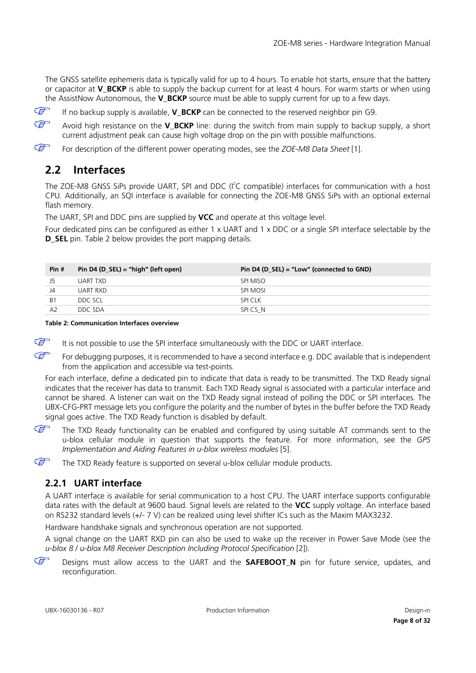The GNSS satellite ephemeris data is typically valid for up to 4 hours. To enable hot starts, ensure that the battery or capacitor at **V\_BCKP** is able to supply the backup current for at least 4 hours. For warm starts or when using the AssistNow Autonomous, the **V\_BCKP** source must be able to supply current for up to a few days.

 $\mathbb{F}$ If no backup supply is available, **V\_BCKP** can be connected to the reserved neighbor pin G9.

 $\mathbb{G}$ Avoid high resistance on the **V\_BCKP** line: during the switch from main supply to backup supply, a short current adjustment peak can cause high voltage drop on the pin with possible malfunctions.

 $\mathbb{Q}$ For description of the different power operating modes, see the *ZOE-M8 Data Sheet* [\[1\].](#page-30-2)

# <span id="page-7-0"></span>**2.2 Interfaces**

The ZOE-M8 GNSS SiPs provide UART, SPI and DDC (I<sup>2</sup>C compatible) interfaces for communication with a host CPU. Additionally, an SQI interface is available for connecting the ZOE-M8 GNSS SiPs with an optional external flash memory.

The UART, SPI and DDC pins are supplied by **VCC** and operate at this voltage level.

Four dedicated pins can be configured as either 1 x UART and 1 x DDC or a single SPI interface selectable by the **D\_SEL** pin. [Table 2](#page-7-2) below provides the port mapping details.

| Pin #          | Pin D4 (D_SEL) = "high" (left open) | Pin D4 (D_SEL) = "Low" (connected to GND) |
|----------------|-------------------------------------|-------------------------------------------|
| J5             | UART TXD                            | SPI MISO                                  |
| J4             | UART RXD                            | SPI MOSI                                  |
| B <sub>1</sub> | DDC SCL                             | SPI CLK                                   |
| A <sub>2</sub> | DDC SDA                             | SPICS N                                   |

<span id="page-7-2"></span>**Table 2: Communication Interfaces overview**

G It is not possible to use the SPI interface simultaneously with the DDC or UART interface.

 $\mathbb{Q}$ For debugging purposes, it is recommended to have a second interface e.g. DDC available that is independent from the application and accessible via test-points.

For each interface, define a dedicated pin to indicate that data is ready to be transmitted. The TXD Ready signal indicates that the receiver has data to transmit. Each TXD Ready signal is associated with a particular interface and cannot be shared. A listener can wait on the TXD Ready signal instead of polling the DDC or SPI interfaces. The UBX-CFG-PRT message lets you configure the polarity and the number of bytes in the buffer before the TXD Ready signal goes active. The TXD Ready function is disabled by default.

 $\mathbb{F}$ The TXD Ready functionality can be enabled and configured by using suitable AT commands sent to the u-blox cellular module in question that supports the feature. For more information, see the *GPS Implementation and Aiding Features in u-blox wireless modules* [\[5\].](#page-30-3)

 $\mathbb{Q}$ The TXD Ready feature is supported on several u-blox cellular module products.

## <span id="page-7-1"></span>**2.2.1 UART interface**

A UART interface is available for serial communication to a host CPU. The UART interface supports configurable data rates with the default at 9600 baud. Signal levels are related to the **VCC** supply voltage. An interface based on RS232 standard levels (+/- 7 V) can be realized using level shifter ICs such as the Maxim MAX3232.

Hardware handshake signals and synchronous operation are not supported.

A signal change on the UART RXD pin can also be used to wake up the receiver in Power Save Mode (see the *u-blox 8 / u-blox M8 Receiver Description Including Protocol Specification* [\[2\]\).](#page-30-4)

 $\mathbb{G}$ Designs must allow access to the UART and the **SAFEBOOT\_N** pin for future service, updates, and reconfiguration.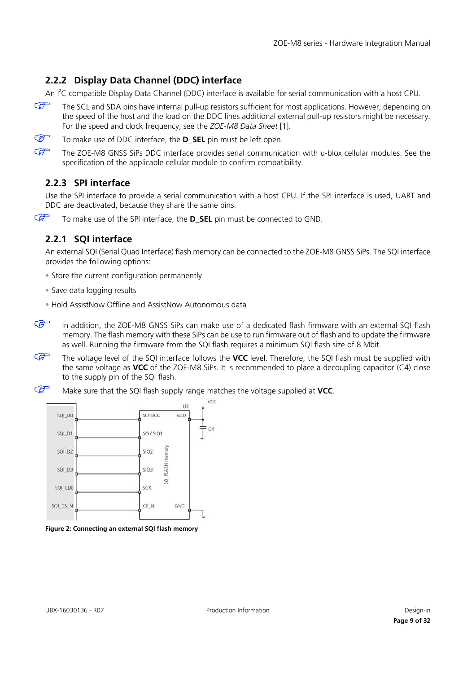# <span id="page-8-0"></span>**2.2.2 Display Data Channel (DDC) interface**

An I'C compatible Display Data Channel (DDC) interface is available for serial communication with a host CPU.

 $\mathbb{Q}$ The SCL and SDA pins have internal pull-up resistors sufficient for most applications. However, depending on the speed of the host and the load on the DDC lines additional external pull-up resistors might be necessary. For the speed and clock frequency, see the *ZOE-M8 Data Sheet* [\[1\].](#page-30-2)

G To make use of DDC interface, the **D\_SEL** pin must be left open.

G The ZOE-M8 GNSS SiPs DDC interface provides serial communication with u-blox cellular modules. See the specification of the applicable cellular module to confirm compatibility.

## <span id="page-8-1"></span>**2.2.3 SPI interface**

Use the SPI interface to provide a serial communication with a host CPU. If the SPI interface is used, UART and DDC are deactivated, because they share the same pins.

 $\mathbb{G}$ To make use of the SPI interface, the **D\_SEL** pin must be connected to GND.

### <span id="page-8-2"></span>**2.2.1 SQI interface**

An external SQI (Serial Quad Interface) flash memory can be connected to the ZOE-M8 GNSS SiPs. The SQI interface provides the following options:

- Store the current configuration permanently
- Save data logging results
- Hold AssistNow Offline and AssistNow Autonomous data
- $\mathbb{G}$ In addition, the ZOE-M8 GNSS SiPs can make use of a dedicated flash firmware with an external SQI flash memory. The flash memory with these SiPs can be use to run firmware out of flash and to update the firmware as well. Running the firmware from the SQI flash requires a minimum SQI flash size of 8 Mbit.
- $\mathbb{G}$ The voltage level of the SQI interface follows the **VCC** level. Therefore, the SQI flash must be supplied with the same voltage as **VCC** of the ZOE-M8 SiPs. It is recommended to place a decoupling capacitor (C4) close to the supply pin of the SQI flash.
- G Make sure that the SQI flash supply range matches the voltage supplied at **VCC**.



**Figure 2: Connecting an external SQI flash memory**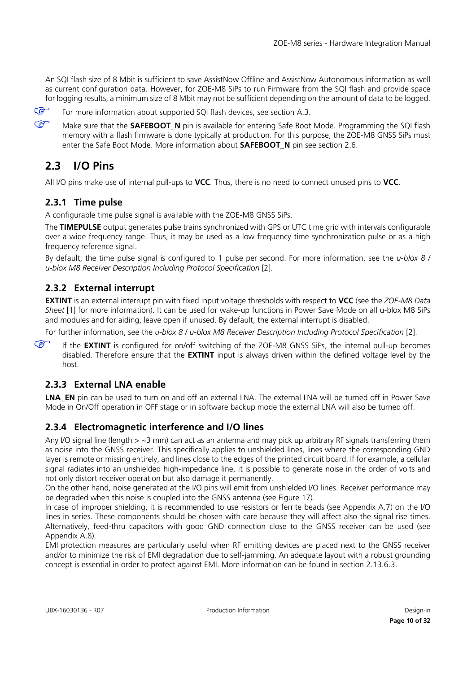An SQI flash size of 8 Mbit is sufficient to save AssistNow Offline and AssistNow Autonomous information as well as current configuration data. However, for ZOE-M8 SiPs to run Firmware from the SQI flash and provide space for logging results, a minimum size of 8 Mbit may not be sufficient depending on the amount of data to be logged.

 $\mathbb{F}$ 

For more information about supported SQI flash devices, see section [A.3.](#page-27-0)

 $\mathbb{F}$ Make sure that the **SAFEBOOT N** pin is available for entering Safe Boot Mode. Programming the SQI flash memory with a flash firmware is done typically at production. For this purpose, the ZOE-M8 GNSS SiPs must enter the Safe Boot Mode. More information about **SAFEBOOT\_N** pin see section [2.6.](#page-12-2)

# <span id="page-9-0"></span>**2.3 I/O Pins**

All I/O pins make use of internal pull-ups to **VCC**. Thus, there is no need to connect unused pins to **VCC**.

## <span id="page-9-1"></span>**2.3.1 Time pulse**

A configurable time pulse signal is available with the ZOE-M8 GNSS SiPs.

The **TIMEPULSE** output generates pulse trains synchronized with GPS or UTC time grid with intervals configurable over a wide frequency range. Thus, it may be used as a low frequency time synchronization pulse or as a high frequency reference signal.

By default, the time pulse signal is configured to 1 pulse per second. For more information, see the *u-blox 8 / u-blox M8 Receiver Description Including Protocol Specification* [\[2\].](#page-30-4)

## <span id="page-9-2"></span>**2.3.2 External interrupt**

**EXTINT** is an external interrupt pin with fixed input voltage thresholds with respect to **VCC** (see the *ZOE-M8 Data Sheet* [\[1\]](#page-30-2) for more information). It can be used for wake-up functions in Power Save Mode on all u-blox M8 SiPs and modules and for aiding, leave open if unused. By default, the external interrupt is disabled.

For further information, see the *u-blox 8 / u-blox M8 Receiver Description Including Protocol Specification* [\[2\].](#page-30-4)

**REP** If the **EXTINT** is configured for on/off switching of the ZOE-M8 GNSS SiPs, the internal pull-up becomes disabled. Therefore ensure that the **EXTINT** input is always driven within the defined voltage level by the host.

## <span id="page-9-3"></span>**2.3.3 External LNA enable**

**LNA\_EN** pin can be used to turn on and off an external LNA. The external LNA will be turned off in Power Save Mode in On/Off operation in OFF stage or in software backup mode the external LNA will also be turned off.

## <span id="page-9-4"></span>**2.3.4 Electromagnetic interference and I/O lines**

Any I/O signal line (length > ~3 mm) can act as an antenna and may pick up arbitrary RF signals transferring them as noise into the GNSS receiver. This specifically applies to unshielded lines, lines where the corresponding GND layer is remote or missing entirely, and lines close to the edges of the printed circuit board. If for example, a cellular signal radiates into an unshielded high-impedance line, it is possible to generate noise in the order of volts and not only distort receiver operation but also damage it permanently.

On the other hand, noise generated at the I/O pins will emit from unshielded I/O lines. Receiver performance may be degraded when this noise is coupled into the GNSS antenna (see [Figure 17\)](#page-22-0).

In case of improper shielding, it is recommended to use resistors or ferrite beads (see Appendix [A.7\)](#page-28-1) on the I/O lines in series. These components should be chosen with care because they will affect also the signal rise times. Alternatively, feed-thru capacitors with good GND connection close to the GNSS receiver can be used (see Appendix [A.8\)](#page-28-2).

EMI protection measures are particularly useful when RF emitting devices are placed next to the GNSS receiver and/or to minimize the risk of EMI degradation due to self-jamming. An adequate layout with a robust grounding concept is essential in order to protect against EMI. More information can be found in section [2.13.6.3.](#page-21-1)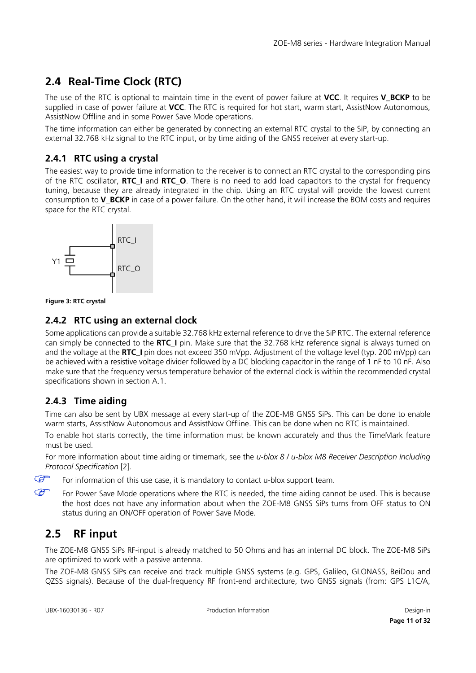# <span id="page-10-0"></span>**2.4 Real-Time Clock (RTC)**

The use of the RTC is optional to maintain time in the event of power failure at **VCC**. It requires **V\_BCKP** to be supplied in case of power failure at **VCC**. The RTC is required for hot start, warm start, AssistNow Autonomous, AssistNow Offline and in some Power Save Mode operations.

The time information can either be generated by connecting an external RTC crystal to the SiP, by connecting an external 32.768 kHz signal to the RTC input, or by time aiding of the GNSS receiver at every start-up.

## <span id="page-10-1"></span>**2.4.1 RTC using a crystal**

The easiest way to provide time information to the receiver is to connect an RTC crystal to the corresponding pins of the RTC oscillator, **RTC\_I** and **RTC\_O**. There is no need to add load capacitors to the crystal for frequency tuning, because they are already integrated in the chip. Using an RTC crystal will provide the lowest current consumption to **V\_BCKP** in case of a power failure. On the other hand, it will increase the BOM costs and requires space for the RTC crystal.





## <span id="page-10-2"></span>**2.4.2 RTC using an external clock**

Some applications can provide a suitable 32.768 kHz external reference to drive the SiP RTC. The external reference can simply be connected to the **RTC\_I** pin. Make sure that the 32.768 kHz reference signal is always turned on and the voltage at the **RTC\_I** pin does not exceed 350 mVpp. Adjustment of the voltage level (typ. 200 mVpp) can be achieved with a resistive voltage divider followed by a DC blocking capacitor in the range of 1 nF to 10 nF. Also make sure that the frequency versus temperature behavior of the external clock is within the recommended crystal specifications shown in section [A.1.](#page-26-2)

## <span id="page-10-3"></span>**2.4.3 Time aiding**

Time can also be sent by UBX message at every start-up of the ZOE-M8 GNSS SiPs. This can be done to enable warm starts, AssistNow Autonomous and AssistNow Offline. This can be done when no RTC is maintained.

To enable hot starts correctly, the time information must be known accurately and thus the TimeMark feature must be used.

For more information about time aiding or timemark, see the *u-blox 8 / u-blox M8 Receiver Description Including Protocol Specification* [\[2\].](#page-30-4) 

For information of this use case, it is mandatory to contact u-blox support team.

For Power Save Mode operations where the RTC is needed, the time aiding cannot be used. This is because the host does not have any information about when the ZOE-M8 GNSS SiPs turns from OFF status to ON status during an ON/OFF operation of Power Save Mode.

# <span id="page-10-4"></span>**2.5 RF input**

 $\mathbb{F}$  $\mathbb{G}$ 

> The ZOE-M8 GNSS SiPs RF-input is already matched to 50 Ohms and has an internal DC block. The ZOE-M8 SiPs are optimized to work with a passive antenna.

> The ZOE-M8 GNSS SiPs can receive and track multiple GNSS systems (e.g. GPS, Galileo, GLONASS, BeiDou and QZSS signals). Because of the dual-frequency RF front-end architecture, two GNSS signals (from: GPS L1C/A,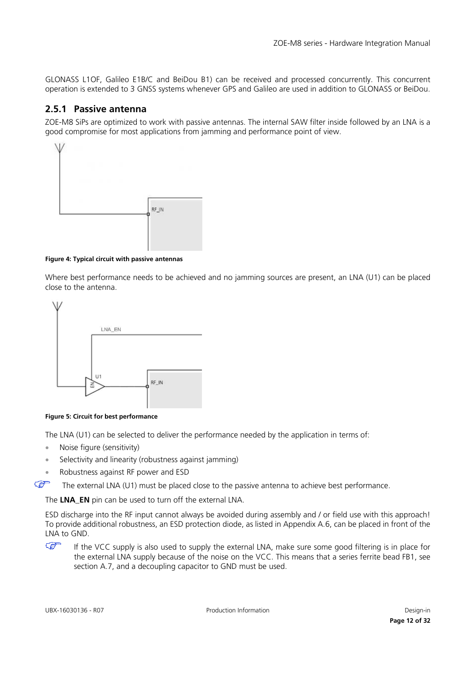GLONASS L1OF, Galileo E1B/C and BeiDou B1) can be received and processed concurrently. This concurrent operation is extended to 3 GNSS systems whenever GPS and Galileo are used in addition to GLONASS or BeiDou.

### <span id="page-11-0"></span>**2.5.1 Passive antenna**

ZOE-M8 SiPs are optimized to work with passive antennas. The internal SAW filter inside followed by an LNA is a good compromise for most applications from jamming and performance point of view.



#### **Figure 4: Typical circuit with passive antennas**

Where best performance needs to be achieved and no jamming sources are present, an LNA (U1) can be placed close to the antenna.



<span id="page-11-1"></span>**Figure 5: Circuit for best performance**

The LNA (U1) can be selected to deliver the performance needed by the application in terms of:

- Noise figure (sensitivity)
- Selectivity and linearity (robustness against jamming)
- Robustness against RF power and ESD
- $\mathbb{Q}$ The external LNA (U1) must be placed close to the passive antenna to achieve best performance.

The **LNA\_EN** pin can be used to turn off the external LNA.

ESD discharge into the RF input cannot always be avoided during assembly and / or field use with this approach! To provide additional robustness, an ESD protection diode, as listed in Appendix [A.6,](#page-28-0) can be placed in front of the LNA to GND.

 $\mathbb{F}$ If the VCC supply is also used to supply the external LNA, make sure some good filtering is in place for the external LNA supply because of the noise on the VCC. This means that a series ferrite bead FB1, see section [A.7,](#page-28-1) and a decoupling capacitor to GND must be used.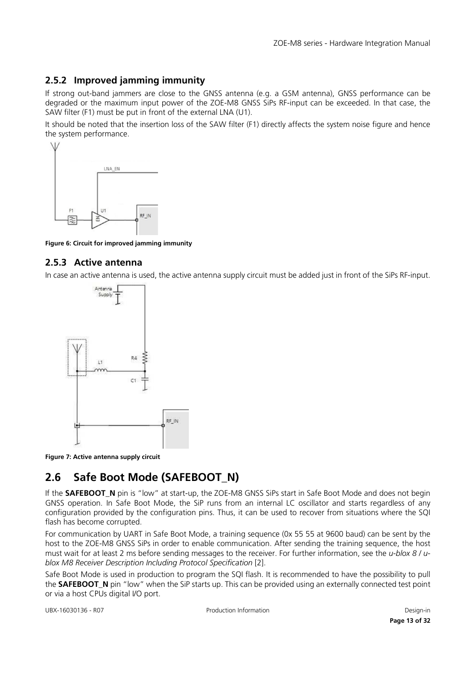### <span id="page-12-0"></span>**2.5.2 Improved jamming immunity**

If strong out-band jammers are close to the GNSS antenna (e.g. a GSM antenna), GNSS performance can be degraded or the maximum input power of the ZOE-M8 GNSS SiPs RF-input can be exceeded. In that case, the SAW filter (F1) must be put in front of the external LNA (U1).

It should be noted that the insertion loss of the SAW filter (F1) directly affects the system noise figure and hence the system performance.



**Figure 6: Circuit for improved jamming immunity**

### <span id="page-12-1"></span>**2.5.3 Active antenna**

In case an active antenna is used, the active antenna supply circuit must be added just in front of the SiPs RF-input.



**Figure 7: Active antenna supply circuit**

# <span id="page-12-2"></span>**2.6 Safe Boot Mode (SAFEBOOT\_N)**

If the **SAFEBOOT\_N** pin is "low" at start-up, the ZOE-M8 GNSS SiPs start in Safe Boot Mode and does not begin GNSS operation. In Safe Boot Mode, the SiP runs from an internal LC oscillator and starts regardless of any configuration provided by the configuration pins. Thus, it can be used to recover from situations where the SQI flash has become corrupted.

For communication by UART in Safe Boot Mode, a training sequence (0x 55 55 at 9600 baud) can be sent by the host to the ZOE-M8 GNSS SiPs in order to enable communication. After sending the training sequence, the host must wait for at least 2 ms before sending messages to the receiver. For further information, see the *u-blox 8 / ublox M8 Receiver Description Including Protocol Specification* [\[2\].](#page-30-4)

Safe Boot Mode is used in production to program the SQI flash. It is recommended to have the possibility to pull the **SAFEBOOT\_N** pin "low" when the SiP starts up. This can be provided using an externally connected test point or via a host CPUs digital I/O port.

UBX-16030136 - R07 Production Information Design-in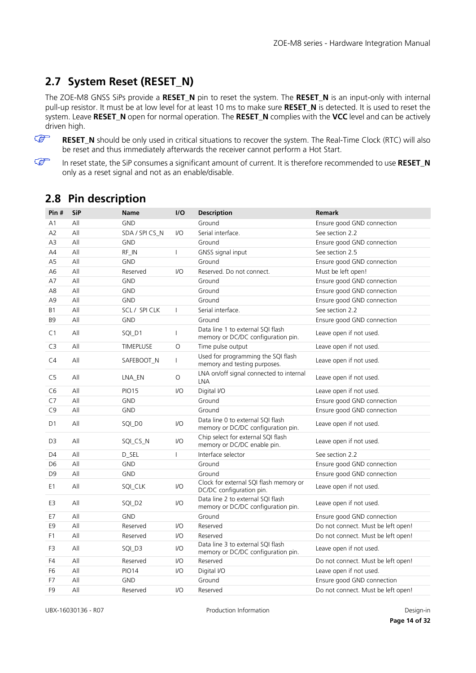# <span id="page-13-0"></span>**2.7 System Reset (RESET\_N)**

The ZOE-M8 GNSS SiPs provide a **RESET\_N** pin to reset the system. The **RESET\_N** is an input-only with internal pull-up resistor. It must be at low level for at least 10 ms to make sure **RESET\_N** is detected. It is used to reset the system. Leave **RESET\_N** open for normal operation. The **RESET\_N** complies with the **VCC** level and can be actively driven high.



**RESET\_N** should be only used in critical situations to recover the system. The Real-Time Clock (RTC) will also be reset and thus immediately afterwards the receiver cannot perform a Hot Start.

 $\mathbb{G}$ 

In reset state, the SiP consumes a significant amount of current. It is therefore recommended to use **RESET\_N** only as a reset signal and not as an enable/disable.

| Pin $#$        | <b>SiP</b> | <b>Name</b>      | I/O                     | <b>Description</b>                                                      | Remark                             |
|----------------|------------|------------------|-------------------------|-------------------------------------------------------------------------|------------------------------------|
| A <sub>1</sub> | All        | <b>GND</b>       |                         | Ground                                                                  | Ensure good GND connection         |
| A2             | All        | SDA / SPI CS_N   | $VO$                    | Serial interface.                                                       | See section 2.2                    |
| A3             | All        | <b>GND</b>       |                         | Ground                                                                  | Ensure good GND connection         |
| AA             | All        | RF_IN            | $\overline{1}$          | GNSS signal input                                                       | See section 2.5                    |
| A <sub>5</sub> | All        | <b>GND</b>       |                         | Ground                                                                  | Ensure good GND connection         |
| A6             | All        | Reserved         | 1/O                     | Reserved. Do not connect.                                               | Must be left open!                 |
| A7             | All        | <b>GND</b>       |                         | Ground                                                                  | Ensure good GND connection         |
| A8             | All        | <b>GND</b>       |                         | Ground                                                                  | Ensure good GND connection         |
| A <sub>9</sub> | All        | <b>GND</b>       |                         | Ground                                                                  | Ensure good GND connection         |
| <b>B1</b>      | All        | SCL / SPI CLK    | $\overline{1}$          | Serial interface.                                                       | See section 2.2                    |
| B <sub>9</sub> | All        | <b>GND</b>       |                         | Ground                                                                  | Ensure good GND connection         |
| C <sub>1</sub> | All        | SQI_D1           | $\overline{1}$          | Data line 1 to external SQI flash<br>memory or DC/DC configuration pin. | Leave open if not used.            |
| C <sub>3</sub> | All        | <b>TIMEPLUSE</b> | O                       | Time pulse output                                                       | Leave open if not used.            |
| C4             | All        | SAFEBOOT_N       | $\overline{1}$          | Used for programming the SQI flash<br>memory and testing purposes.      | Leave open if not used.            |
| C <sub>5</sub> | All        | LNA EN           | O                       | LNA on/off signal connected to internal<br><b>LNA</b>                   | Leave open if not used.            |
| C <sub>6</sub> | All        | <b>PIO15</b>     | 1/O                     | Digital I/O                                                             | Leave open if not used.            |
| C7             | All        | <b>GND</b>       |                         | Ground                                                                  | Ensure good GND connection         |
| C9             | All        | <b>GND</b>       |                         | Ground                                                                  | Ensure good GND connection         |
| D <sub>1</sub> | All        | SQI_D0           | I/O                     | Data line 0 to external SQI flash<br>memory or DC/DC configuration pin. | Leave open if not used.            |
| D <sub>3</sub> | All        | SQI_CS_N         | I/O                     | Chip select for external SQI flash<br>memory or DC/DC enable pin.       | Leave open if not used.            |
| D <sub>4</sub> | All        | D_SEL            | $\mathbf{I}$            | Interface selector                                                      | See section 2.2                    |
| D <sub>6</sub> | All        | <b>GND</b>       |                         | Ground                                                                  | Ensure good GND connection         |
| D <sub>9</sub> | All        | <b>GND</b>       |                         | Ground                                                                  | Ensure good GND connection         |
| E1             | All        | SQI_CLK          | I/O                     | Clock for external SQI flash memory or<br>DC/DC configuration pin.      | Leave open if not used.            |
| E3             | All        | SQI_D2           | I/O                     | Data line 2 to external SQI flash<br>memory or DC/DC configuration pin. | Leave open if not used.            |
| E7             | All        | <b>GND</b>       |                         | Ground                                                                  | Ensure good GND connection         |
| E <sub>9</sub> | All        | Reserved         | $VO$                    | Reserved                                                                | Do not connect. Must be left open! |
| F <sub>1</sub> | All        | Reserved         | $VO$                    | Reserved                                                                | Do not connect. Must be left open! |
| F3             | All        | SQI_D3           | I/O                     | Data line 3 to external SQI flash<br>memory or DC/DC configuration pin. | Leave open if not used.            |
| F4             | All        | Reserved         | 1/O                     | Reserved                                                                | Do not connect. Must be left open! |
| F <sub>6</sub> | All        | <b>PIO14</b>     | I/O                     | Digital I/O                                                             | Leave open if not used.            |
| F7             | All        | <b>GND</b>       |                         | Ground                                                                  | Ensure good GND connection         |
| F <sub>9</sub> | All        | Reserved         | $\mathsf{I}/\mathsf{O}$ | Reserved                                                                | Do not connect. Must be left open! |

# <span id="page-13-1"></span>**2.8 Pin description**

UBX-16030136 - R07 Production Information Design-in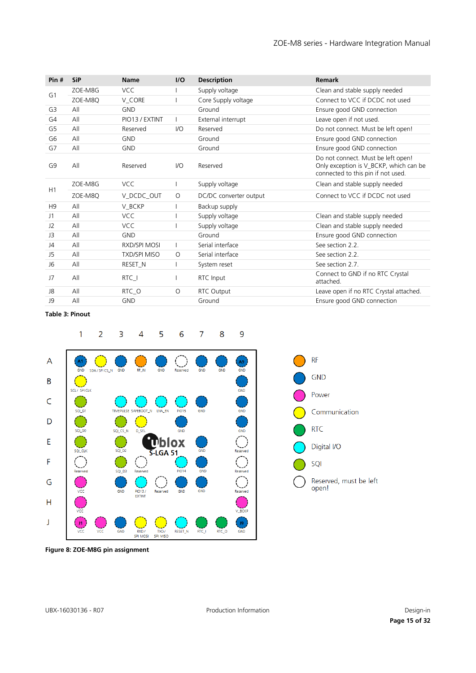| Pin #          | <b>SiP</b> | <b>Name</b>         | I/O     | <b>Description</b>     | Remark                                                                                                             |
|----------------|------------|---------------------|---------|------------------------|--------------------------------------------------------------------------------------------------------------------|
| G <sub>1</sub> | ZOE-M8G    | <b>VCC</b>          |         | Supply voltage         | Clean and stable supply needed                                                                                     |
|                | ZOE-M8Q    | V_CORE              |         | Core Supply voltage    | Connect to VCC if DCDC not used                                                                                    |
| G3             | All        | <b>GND</b>          |         | Ground                 | Ensure good GND connection                                                                                         |
| G4             | All        | PIO13 / EXTINT      |         | External interrupt     | Leave open if not used.                                                                                            |
| G5             | All        | Reserved            | I/O     | Reserved               | Do not connect. Must be left open!                                                                                 |
| G <sub>6</sub> | All        | <b>GND</b>          |         | Ground                 | Ensure good GND connection                                                                                         |
| G7             | All        | <b>GND</b>          |         | Ground                 | Ensure good GND connection                                                                                         |
| G <sub>9</sub> | All        | Reserved            | $U$     | Reserved               | Do not connect. Must be left open!<br>Only exception is V_BCKP, which can be<br>connected to this pin if not used. |
| H1             | ZOE-M8G    | <b>VCC</b>          |         | Supply voltage         | Clean and stable supply needed                                                                                     |
|                | ZOE-M8Q    | V_DCDC_OUT          | $\circ$ | DC/DC converter output | Connect to VCC if DCDC not used                                                                                    |
| H <sub>9</sub> | All        | V_BCKP              |         | Backup supply          |                                                                                                                    |
| J1             | All        | <b>VCC</b>          |         | Supply voltage         | Clean and stable supply needed                                                                                     |
| J2             | All        | <b>VCC</b>          |         | Supply voltage         | Clean and stable supply needed                                                                                     |
| J3             | All        | <b>GND</b>          |         | Ground                 | Ensure good GND connection                                                                                         |
| J4             | All        | <b>RXD/SPI MOSI</b> |         | Serial interface       | See section 2.2.                                                                                                   |
| J5             | All        | <b>TXD/SPI MISO</b> | $\circ$ | Serial interface       | See section 2.2.                                                                                                   |
| J6             | All        | RESET_N             |         | System reset           | See section 2.7.                                                                                                   |
| J7             | All        | $RTC_$              |         | RTC Input              | Connect to GND if no RTC Crystal<br>attached.                                                                      |
| J8             | All        | RTC_O               | $\circ$ | RTC Output             | Leave open if no RTC Crystal attached.                                                                             |
| J9             | All        | <b>GND</b>          |         | Ground                 | Ensure good GND connection                                                                                         |

#### <span id="page-14-0"></span>**Table 3: Pinout**







**Figure 8: ZOE-M8G pin assignment**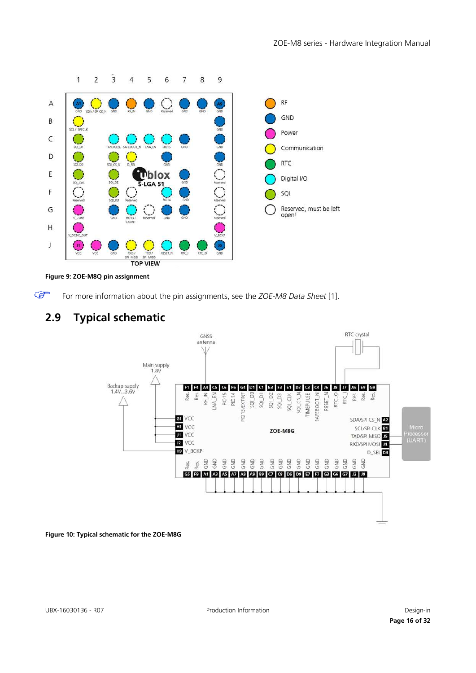

**Figure 9: ZOE-M8Q pin assignment**

 $\mathbb{G}$ For more information about the pin assignments, see the *ZOE-M8 Data Sheet* [\[1\].](#page-30-2)

# <span id="page-15-0"></span>**2.9 Typical schematic**



**Figure 10: Typical schematic for the ZOE-M8G**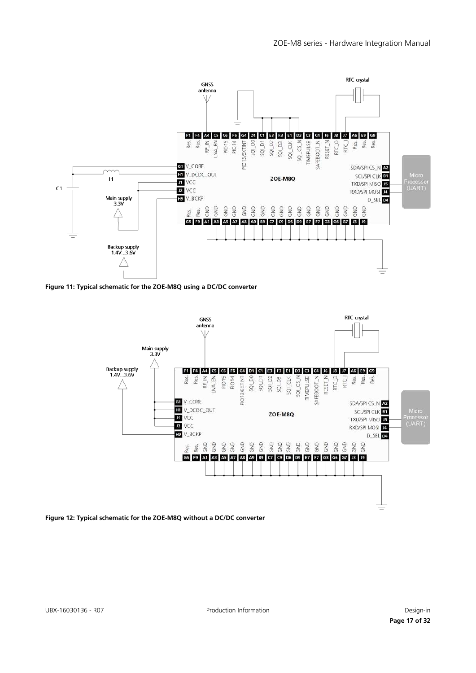

**Figure 11: Typical schematic for the ZOE-M8Q using a DC/DC converter**



**Figure 12: Typical schematic for the ZOE-M8Q without a DC/DC converter**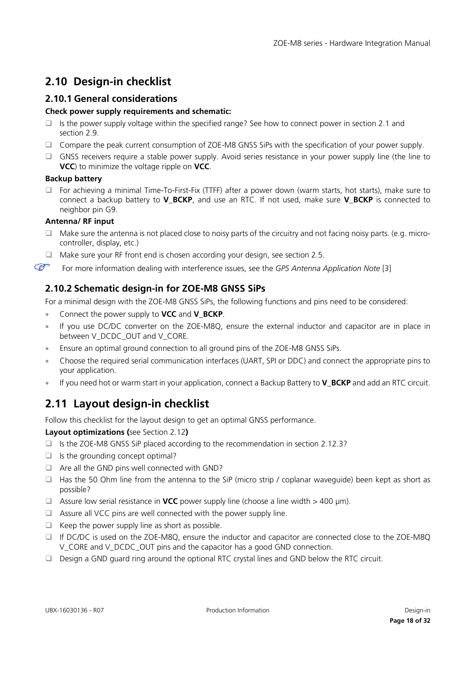# <span id="page-17-0"></span>**2.10 Design-in checklist**

### <span id="page-17-1"></span>**2.10.1 General considerations**

### **Check power supply requirements and schematic:**

- $\Box$  Is the power supply voltage within the specified range? See how to connect power in section [2.1](#page-5-3) and section [2.9.](#page-15-0)
- □ Compare the peak current consumption of ZOE-M8 GNSS SiPs with the specification of your power supply.
- GNSS receivers require a stable power supply. Avoid series resistance in your power supply line (the line to **VCC**) to minimize the voltage ripple on **VCC**.

### **Backup battery**

 For achieving a minimal Time-To-First-Fix (TTFF) after a power down (warm starts, hot starts), make sure to connect a backup battery to **V\_BCKP**, and use an RTC. If not used, make sure **V\_BCKP** is connected to neighbor pin G9.

### **Antenna/ RF input**

- Make sure the antenna is not placed close to noisy parts of the circuitry and not facing noisy parts. (e.g. microcontroller, display, etc.)
- $\Box$  Make sure your RF front end is chosen according your design, see section [2.5.](#page-10-4)

 $\mathbb{G}$ For more information dealing with interference issues, see the *GPS Antenna Application Note* [\[3\]](#page-30-5)

## <span id="page-17-2"></span>**2.10.2 Schematic design-in for ZOE-M8 GNSS SiPs**

For a minimal design with the ZOE-M8 GNSS SiPs, the following functions and pins need to be considered:

- Connect the power supply to **VCC** and **V\_BCKP**.
- If you use DC/DC converter on the ZOE-M8Q, ensure the external inductor and capacitor are in place in between V\_DCDC\_OUT and V\_CORE.
- Ensure an optimal ground connection to all ground pins of the ZOE-M8 GNSS SiPs.
- Choose the required serial communication interfaces (UART, SPI or DDC) and connect the appropriate pins to your application.
- If you need hot or warm start in your application, connect a Backup Battery to **V\_BCKP** and add an RTC circuit.

# <span id="page-17-3"></span>**2.11 Layout design-in checklist**

Follow this checklist for the layout design to get an optimal GNSS performance.

**Layout optimizations (**see Section [2.12](#page-18-0)**)** 

- $\Box$  Is the ZOE-M8 GNSS SiP placed according to the recommendation in section [2.12.3?](#page-19-1)
- $\Box$  Is the grounding concept optimal?
- $\Box$  Are all the GND pins well connected with GND?
- $\Box$  Has the 50 Ohm line from the antenna to the SiP (micro strip / coplanar waveguide) been kept as short as possible?
- Assure low serial resistance in **VCC** power supply line (choose a line width  $>$  400  $\mu$ m).
- $\Box$  Assure all VCC pins are well connected with the power supply line.
- $\Box$  Keep the power supply line as short as possible.
- If DC/DC is used on the ZOE-M8Q, ensure the inductor and capacitor are connected close to the ZOE-M8Q V\_CORE and V\_DCDC\_OUT pins and the capacitor has a good GND connection.
- Design a GND guard ring around the optional RTC crystal lines and GND below the RTC circuit.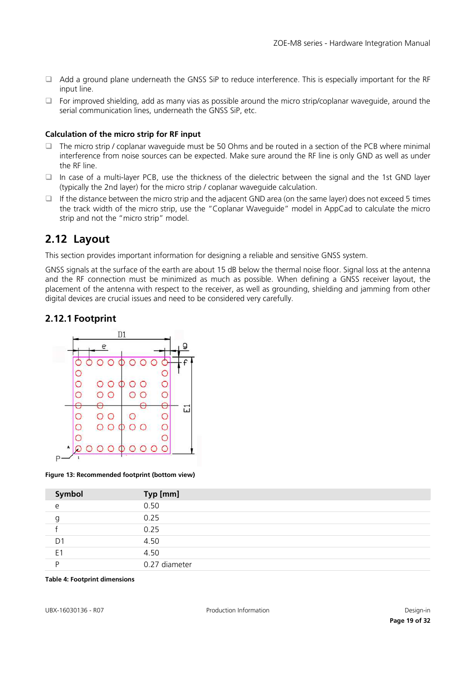- $\Box$  Add a ground plane underneath the GNSS SiP to reduce interference. This is especially important for the RF input line.
- $\Box$  For improved shielding, add as many vias as possible around the micro strip/coplanar waveguide, around the serial communication lines, underneath the GNSS SiP, etc.

#### **Calculation of the micro strip for RF input**

- The micro strip / coplanar waveguide must be 50 Ohms and be routed in a section of the PCB where minimal interference from noise sources can be expected. Make sure around the RF line is only GND as well as under the RF line.
- In case of a multi-layer PCB, use the thickness of the dielectric between the signal and the 1st GND layer (typically the 2nd layer) for the micro strip / coplanar waveguide calculation.
- If the distance between the micro strip and the adjacent GND area (on the same layer) does not exceed 5 times the track width of the micro strip, use the "Coplanar Waveguide" model in AppCad to calculate the micro strip and not the "micro strip" model.

## <span id="page-18-0"></span>**2.12 Layout**

This section provides important information for designing a reliable and sensitive GNSS system.

GNSS signals at the surface of the earth are about 15 dB below the thermal noise floor. Signal loss at the antenna and the RF connection must be minimized as much as possible. When defining a GNSS receiver layout, the placement of the antenna with respect to the receiver, as well as grounding, shielding and jamming from other digital devices are crucial issues and need to be considered very carefully.

### <span id="page-18-1"></span>**2.12.1 Footprint**



<span id="page-18-2"></span>**Figure 13: Recommended footprint (bottom view)**

| Symbol         | Typ [mm]      |
|----------------|---------------|
| e              | 0.50          |
| g              | 0.25          |
|                | 0.25          |
| D <sub>1</sub> | 4.50          |
| E <sub>1</sub> | 4.50          |
| D              | 0.27 diameter |

#### **Table 4: Footprint dimensions**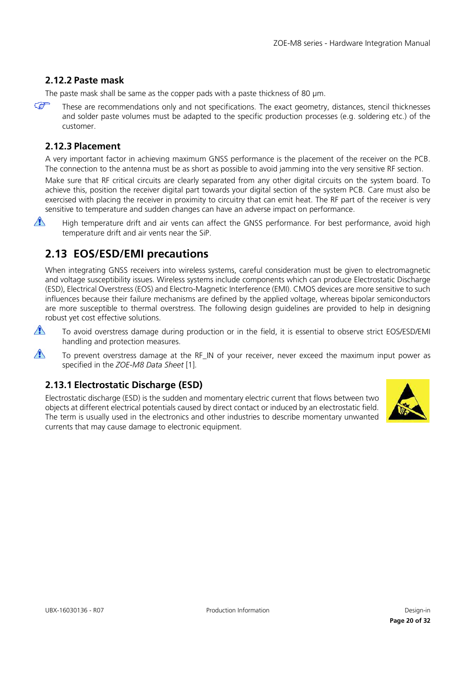### <span id="page-19-0"></span>**2.12.2 Paste mask**

The paste mask shall be same as the copper pads with a paste thickness of 80 µm.

 $\mathbb{Q}$ These are recommendations only and not specifications. The exact geometry, distances, stencil thicknesses and solder paste volumes must be adapted to the specific production processes (e.g. soldering etc.) of the customer.

### <span id="page-19-1"></span>**2.12.3 Placement**

A very important factor in achieving maximum GNSS performance is the placement of the receiver on the PCB. The connection to the antenna must be as short as possible to avoid jamming into the very sensitive RF section.

Make sure that RF critical circuits are clearly separated from any other digital circuits on the system board. To achieve this, position the receiver digital part towards your digital section of the system PCB. Care must also be exercised with placing the receiver in proximity to circuitry that can emit heat. The RF part of the receiver is very sensitive to temperature and sudden changes can have an adverse impact on performance.

 $\sqrt{N}$ 

High temperature drift and air vents can affect the GNSS performance. For best performance, avoid high temperature drift and air vents near the SiP.

# <span id="page-19-2"></span>**2.13 EOS/ESD/EMI precautions**

When integrating GNSS receivers into wireless systems, careful consideration must be given to electromagnetic and voltage susceptibility issues. Wireless systems include components which can produce Electrostatic Discharge (ESD), Electrical Overstress (EOS) and Electro-Magnetic Interference (EMI). CMOS devices are more sensitive to such influences because their failure mechanisms are defined by the applied voltage, whereas bipolar semiconductors are more susceptible to thermal overstress. The following design guidelines are provided to help in designing robust yet cost effective solutions.

 $\sqrt{N}$ To avoid overstress damage during production or in the field, it is essential to observe strict EOS/ESD/EMI handling and protection measures.

 $\bigwedge$ To prevent overstress damage at the RF\_IN of your receiver, never exceed the maximum input power as specified in the *ZOE-M8 Data Sheet* [\[1\].](#page-30-2)

## <span id="page-19-3"></span>**2.13.1 Electrostatic Discharge (ESD)**

Electrostatic discharge (ESD) is the sudden and momentary electric current that flows between two objects at different electrical potentials caused by direct contact or induced by an electrostatic field. The term is usually used in the electronics and other industries to describe momentary unwanted currents that may cause damage to electronic equipment.

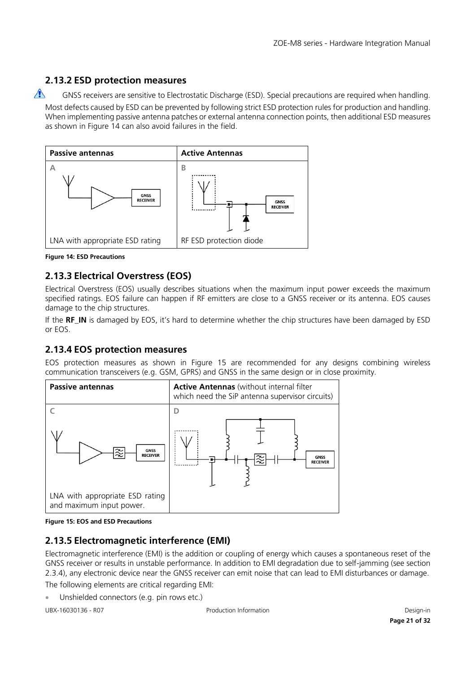## <span id="page-20-0"></span>**2.13.2 ESD protection measures**

 $\bigwedge$ GNSS receivers are sensitive to Electrostatic Discharge (ESD). Special precautions are required when handling. Most defects caused by ESD can be prevented by following strict ESD protection rules for production and handling. When implementing passive antenna patches or external antenna connection points, then additional ESD measures as shown in [Figure 14](#page-20-4) can also avoid failures in the field.



<span id="page-20-4"></span>**Figure 14: ESD Precautions**

## <span id="page-20-1"></span>**2.13.3 Electrical Overstress (EOS)**

Electrical Overstress (EOS) usually describes situations when the maximum input power exceeds the maximum specified ratings. EOS failure can happen if RF emitters are close to a GNSS receiver or its antenna. EOS causes damage to the chip structures.

If the **RF\_IN** is damaged by EOS, it's hard to determine whether the chip structures have been damaged by ESD or EOS.

### <span id="page-20-2"></span>**2.13.4 EOS protection measures**

EOS protection measures as shown in [Figure 15](#page-20-5) are recommended for any designs combining wireless communication transceivers (e.g. GSM, GPRS) and GNSS in the same design or in close proximity.



<span id="page-20-5"></span>

## <span id="page-20-3"></span>**2.13.5 Electromagnetic interference (EMI)**

Electromagnetic interference (EMI) is the addition or coupling of energy which causes a spontaneous reset of the GNSS receiver or results in unstable performance. In addition to EMI degradation due to self-jamming (see section [2.3.4\)](#page-9-4), any electronic device near the GNSS receiver can emit noise that can lead to EMI disturbances or damage. The following elements are critical regarding EMI:

• Unshielded connectors (e.g. pin rows etc.)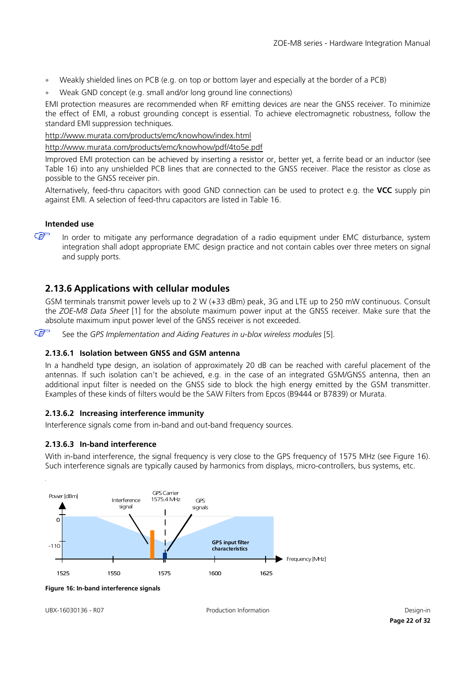- Weakly shielded lines on PCB (e.g. on top or bottom layer and especially at the border of a PCB)
- Weak GND concept (e.g. small and/or long ground line connections)

EMI protection measures are recommended when RF emitting devices are near the GNSS receiver. To minimize the effect of EMI, a robust grounding concept is essential. To achieve electromagnetic robustness, follow the standard EMI suppression techniques.

<http://www.murata.com/products/emc/knowhow/index.html>

<http://www.murata.com/products/emc/knowhow/pdf/4to5e.pdf>

Improved EMI protection can be achieved by inserting a resistor or, better yet, a ferrite bead or an inductor (see [Table 16\)](#page-28-4) into any unshielded PCB lines that are connected to the GNSS receiver. Place the resistor as close as possible to the GNSS receiver pin.

Alternatively, feed-thru capacitors with good GND connection can be used to protect e.g. the **VCC** supply pin against EMI. A selection of feed-thru capacitors are listed in [Table 16.](#page-28-4)

#### **Intended use**

 $\mathbb{Q}$ 

In order to mitigate any performance degradation of a radio equipment under EMC disturbance, system integration shall adopt appropriate EMC design practice and not contain cables over three meters on signal and supply ports.

### <span id="page-21-0"></span>**2.13.6 Applications with cellular modules**

GSM terminals transmit power levels up to 2 W (+33 dBm) peak, 3G and LTE up to 250 mW continuous. Consult the *ZOE-M8 Data Sheet* [\[1\]](#page-30-2) for the absolute maximum power input at the GNSS receiver. Make sure that the absolute maximum input power level of the GNSS receiver is not exceeded.

 $\mathbb{G}$ See the *GPS Implementation and Aiding Features in u-blox wireless modules* [\[5\].](#page-30-3)

#### **2.13.6.1 Isolation between GNSS and GSM antenna**

In a handheld type design, an isolation of approximately 20 dB can be reached with careful placement of the antennas. If such isolation can't be achieved, e.g. in the case of an integrated GSM/GNSS antenna, then an additional input filter is needed on the GNSS side to block the high energy emitted by the GSM transmitter. Examples of these kinds of filters would be the SAW Filters from Epcos (B9444 or B7839) or Murata.

#### **2.13.6.2 Increasing interference immunity**

Interference signals come from in-band and out-band frequency sources.

#### <span id="page-21-1"></span>**2.13.6.3 In-band interference**

With in-band interference, the signal frequency is very close to the GPS frequency of 1575 MHz (see [Figure 16\)](#page-21-2). Such interference signals are typically caused by harmonics from displays, micro-controllers, bus systems, etc.



<span id="page-21-2"></span>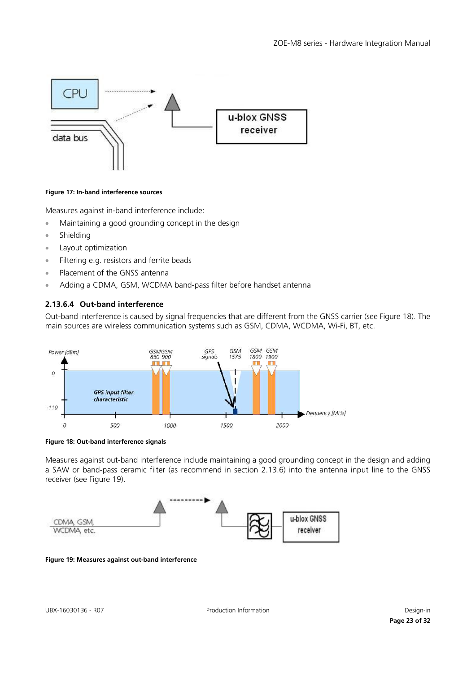

#### <span id="page-22-0"></span>**Figure 17: In-band interference sources**

Measures against in-band interference include:

- Maintaining a good grounding concept in the design
- Shielding
- Layout optimization
- Filtering e.g. resistors and ferrite beads
- Placement of the GNSS antenna
- Adding a CDMA, GSM, WCDMA band-pass filter before handset antenna

### **2.13.6.4 Out-band interference**

Out-band interference is caused by signal frequencies that are different from the GNSS carrier (see [Figure 18\)](#page-22-1). The main sources are wireless communication systems such as GSM, CDMA, WCDMA, Wi-Fi, BT, etc.



<span id="page-22-1"></span>

Measures against out-band interference include maintaining a good grounding concept in the design and adding a SAW or band-pass ceramic filter (as recommend in section [2.13.6\)](#page-21-0) into the antenna input line to the GNSS receiver (see [Figure 19\)](#page-22-2).



<span id="page-22-2"></span>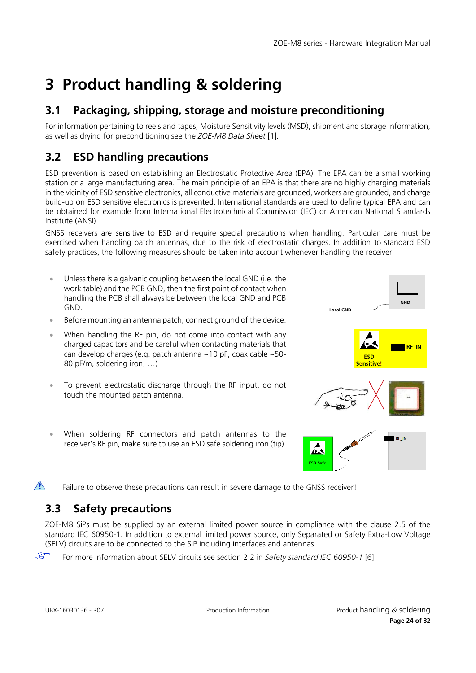# <span id="page-23-0"></span>**3 Product handling & soldering**

# <span id="page-23-1"></span>**3.1 Packaging, shipping, storage and moisture preconditioning**

For information pertaining to reels and tapes, Moisture Sensitivity levels (MSD), shipment and storage information, as well as drying for preconditioning see the *ZOE-M8 Data Sheet* [\[1\].](#page-30-2)

# <span id="page-23-2"></span>**3.2 ESD handling precautions**

ESD prevention is based on establishing an Electrostatic Protective Area (EPA). The EPA can be a small working station or a large manufacturing area. The main principle of an EPA is that there are no highly charging materials in the vicinity of ESD sensitive electronics, all conductive materials are grounded, workers are grounded, and charge build-up on ESD sensitive electronics is prevented. International standards are used to define typical EPA and can be obtained for example from International Electrotechnical Commission (IEC) or American National Standards Institute (ANSI).

GNSS receivers are sensitive to ESD and require special precautions when handling. Particular care must be exercised when handling patch antennas, due to the risk of electrostatic charges. In addition to standard ESD safety practices, the following measures should be taken into account whenever handling the receiver.

- Unless there is a galvanic coupling between the local GND (i.e. the work table) and the PCB GND, then the first point of contact when handling the PCB shall always be between the local GND and PCB GND.
- Before mounting an antenna patch, connect ground of the device.
- When handling the RF pin, do not come into contact with any charged capacitors and be careful when contacting materials that can develop charges (e.g. patch antenna ~10 pF, coax cable ~50- 80 pF/m, soldering iron, …)
- To prevent electrostatic discharge through the RF input, do not touch the mounted patch antenna.
- When soldering RF connectors and patch antennas to the receiver's RF pin, make sure to use an ESD safe soldering iron (tip).



 $\bigwedge$ Failure to observe these precautions can result in severe damage to the GNSS receiver!

# <span id="page-23-3"></span>**3.3 Safety precautions**

ZOE-M8 SiPs must be supplied by an external limited power source in compliance with the clause 2.5 of the standard IEC 60950-1. In addition to external limited power source, only Separated or Safety Extra-Low Voltage (SELV) circuits are to be connected to the SiP including interfaces and antennas.

G For more information about SELV circuits see section 2.2 in *Safety standard IEC 60950-1* [\[6\]](#page-30-6)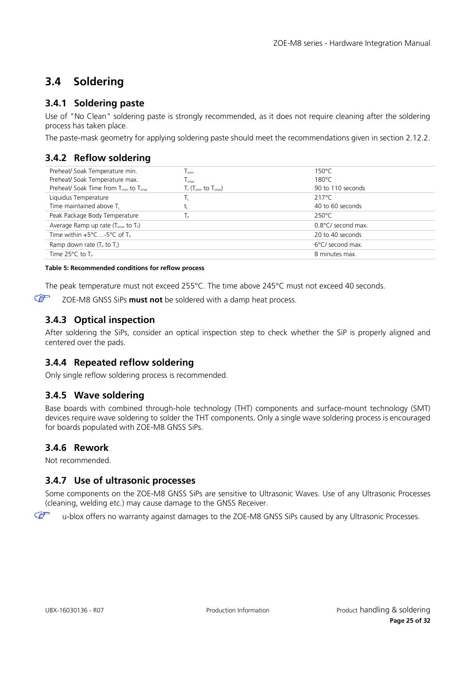# <span id="page-24-0"></span>**3.4 Soldering**

## <span id="page-24-1"></span>**3.4.1 Soldering paste**

Use of "No Clean" soldering paste is strongly recommended, as it does not require cleaning after the soldering process has taken place.

The paste-mask geometry for applying soldering paste should meet the recommendations given in section [2.12.2.](#page-19-0)

### <span id="page-24-2"></span>**3.4.2 Reflow soldering**

| Preheat/ Soak Temperature min.                                 | l <sub>smin</sub>                    | $150^{\circ}$ C    |
|----------------------------------------------------------------|--------------------------------------|--------------------|
| Preheat/ Soak Temperature max.                                 | $\mathsf{\Gamma}_\mathsf{smax}$      | $180^{\circ}$ C    |
| Preheat/ Soak Time from $T_{\text{smin}}$ to $T_{\text{smax}}$ | $T_{s}$ ( $T_{smin}$ to $T_{smax}$ ) | 90 to 110 seconds  |
| Liquidus Temperature                                           |                                      | 217°C              |
| Time maintained above T                                        | u.                                   | 40 to 60 seconds   |
| Peak Package Body Temperature                                  | p                                    | 250°C              |
| Average Ramp up rate $(Tsmax$ to $Tp)$                         |                                      | 0.8°C/ second max. |
| Time within $+5^{\circ}$ C-5°C of T <sub>p</sub>               |                                      | 20 to 40 seconds   |
| Ramp down rate $(T_5$ to $T_1$ )                               |                                      | 6°C/ second max.   |
| Time $25^{\circ}$ C to T <sub>p</sub>                          |                                      | 8 minutes max.     |

#### **Table 5: Recommended conditions for reflow process**

The peak temperature must not exceed 255°C. The time above 245°C must not exceed 40 seconds.

 $\mathbb{F}$ ZOE-M8 GNSS SiPs **must not** be soldered with a damp heat process.

## <span id="page-24-3"></span>**3.4.3 Optical inspection**

After soldering the SiPs, consider an optical inspection step to check whether the SiP is properly aligned and centered over the pads.

## <span id="page-24-4"></span>**3.4.4 Repeated reflow soldering**

Only single reflow soldering process is recommended.

## <span id="page-24-5"></span>**3.4.5 Wave soldering**

Base boards with combined through-hole technology (THT) components and surface-mount technology (SMT) devices require wave soldering to solder the THT components. Only a single wave soldering process is encouraged for boards populated with ZOE-M8 GNSS SiPs.

### <span id="page-24-6"></span>**3.4.6 Rework**

Not recommended.

G

### <span id="page-24-7"></span>**3.4.7 Use of ultrasonic processes**

Some components on the ZOE-M8 GNSS SiPs are sensitive to Ultrasonic Waves. Use of any Ultrasonic Processes (cleaning, welding etc.) may cause damage to the GNSS Receiver.

u-blox offers no warranty against damages to the ZOE-M8 GNSS SiPs caused by any Ultrasonic Processes.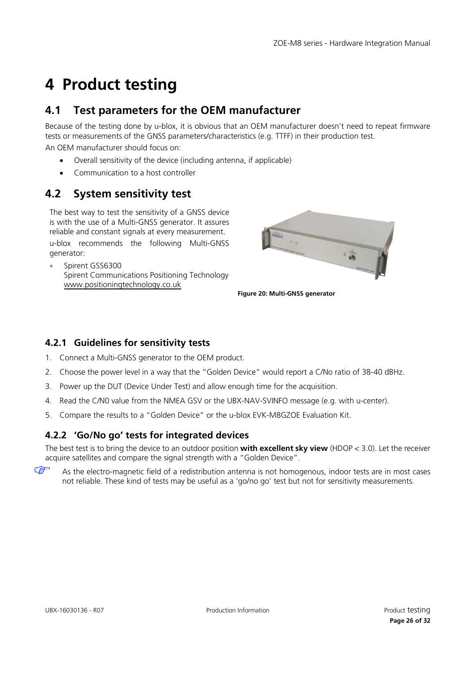# <span id="page-25-0"></span>**4 Product testing**

# <span id="page-25-1"></span>**4.1 Test parameters for the OEM manufacturer**

Because of the testing done by u-blox, it is obvious that an OEM manufacturer doesn't need to repeat firmware tests or measurements of the GNSS parameters/characteristics (e.g. TTFF) in their production test.

An OEM manufacturer should focus on:

- Overall sensitivity of the device (including antenna, if applicable)
- Communication to a host controller

# <span id="page-25-2"></span>**4.2 System sensitivity test**

The best way to test the sensitivity of a GNSS device is with the use of a Multi-GNSS generator. It assures reliable and constant signals at every measurement.

u-blox recommends the following Multi-GNSS generator:

• Spirent GSS6300 Spirent Communications Positioning Technology [www.positioningtechnology.co.uk](http://www.positioningtechnology.co.uk/) 



**Figure 20: Multi-GNSS generator**

## <span id="page-25-3"></span>**4.2.1 Guidelines for sensitivity tests**

- 1. Connect a Multi-GNSS generator to the OEM product.
- 2. Choose the power level in a way that the "Golden Device" would report a C/No ratio of 38-40 dBHz.
- 3. Power up the DUT (Device Under Test) and allow enough time for the acquisition.
- 4. Read the C/N0 value from the NMEA GSV or the UBX-NAV-SVINFO message (e.g. with u-center).
- 5. Compare the results to a "Golden Device" or the u-blox EVK-M8GZOE Evaluation Kit.

## <span id="page-25-4"></span>**4.2.2 'Go/No go' tests for integrated devices**

The best test is to bring the device to an outdoor position **with excellent sky view** (HDOP < 3.0). Let the receiver acquire satellites and compare the signal strength with a "Golden Device".

 $\mathbb{Q}$ As the electro-magnetic field of a redistribution antenna is not homogenous, indoor tests are in most cases not reliable. These kind of tests may be useful as a 'go/no go' test but not for sensitivity measurements.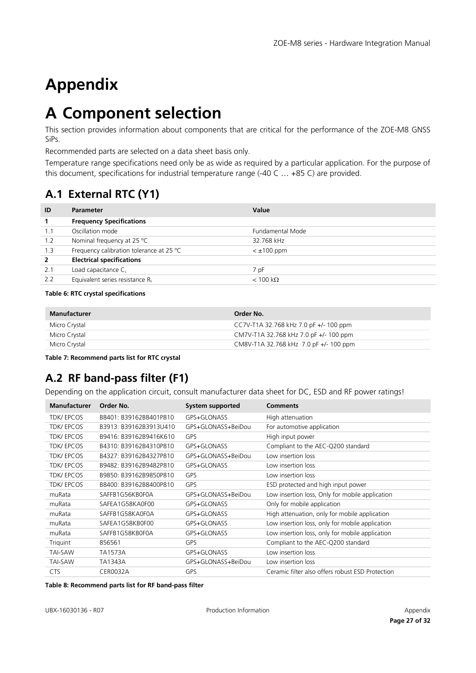# <span id="page-26-0"></span>**Appendix**

# <span id="page-26-1"></span>**A Component selection**

This section provides information about components that are critical for the performance of the ZOE-M8 GNSS SiPs.

Recommended parts are selected on a data sheet basis only.

Temperature range specifications need only be as wide as required by a particular application. For the purpose of this document, specifications for industrial temperature range (-40 C … +85 C) are provided.

# <span id="page-26-2"></span>**A.1 External RTC (Y1)**

| ID             | <b>Parameter</b>                         | Value                   |
|----------------|------------------------------------------|-------------------------|
| 1              | <b>Frequency Specifications</b>          |                         |
| 1.1            | Oscillation mode                         | Fundamental Mode        |
| 1.2            | Nominal frequency at 25 °C               | 32.768 kHz              |
| 1.3            | Frequency calibration tolerance at 25 °C | $<$ $\pm$ 100 ppm       |
| $\overline{2}$ | <b>Electrical specifications</b>         |                         |
| 2.1            | Load capacitance C                       | 7 pF                    |
| 2.2            | Equivalent series resistance Rs          | $< 100 \text{ k}\Omega$ |
|                |                                          |                         |

#### **Table 6: RTC crystal specifications**

| Manufacturer  | Order No.                                |
|---------------|------------------------------------------|
| Micro Crystal | CC7V-T1A 32.768 kHz 7.0 pF $+/-$ 100 ppm |
| Micro Crystal | CM7V-T1A 32.768 kHz 7.0 pF +/- 100 ppm   |
| Micro Crystal | CM8V-T1A 32.768 kHz 7.0 pF +/- 100 ppm   |

**Table 7: Recommend parts list for RTC crystal**

# <span id="page-26-3"></span>**A.2 RF band-pass filter (F1)**

Depending on the application circuit, consult manufacturer data sheet for DC, ESD and RF power ratings!

| <b>Manufacturer</b> | Order No.              | System supported   | <b>Comments</b>                                  |
|---------------------|------------------------|--------------------|--------------------------------------------------|
| <b>TDK/EPCOS</b>    | B8401: B39162B8401P810 | GPS+GLONASS        | High attenuation                                 |
| <b>TDK/EPCOS</b>    | B3913: B39162B3913U410 | GPS+GLONASS+BeiDou | For automotive application                       |
| <b>TDK/EPCOS</b>    | B9416: B39162B9416K610 | <b>GPS</b>         | High input power                                 |
| <b>TDK/EPCOS</b>    | B4310: B39162B4310P810 | GPS+GLONASS        | Compliant to the AEC-Q200 standard               |
| <b>TDK/EPCOS</b>    | B4327: B39162B4327P810 | GPS+GLONASS+BeiDou | Low insertion loss                               |
| <b>TDK/EPCOS</b>    | B9482: B39162B9482P810 | GPS+GLONASS        | Low insertion loss                               |
| <b>TDK/EPCOS</b>    | B9850: B39162B9850P810 | GPS                | Low insertion loss                               |
| <b>TDK/EPCOS</b>    | B8400: B39162B8400P810 | GPS                | ESD protected and high input power               |
| muRata              | SAFFB1G56KB0F0A        | GPS+GLONASS+BeiDou | Low insertion loss, Only for mobile application  |
| muRata              | SAFEA1G58KA0F00        | GPS+GLONASS        | Only for mobile application                      |
| muRata              | SAFFB1G58KA0F0A        | GPS+GLONASS        | High attenuation, only for mobile application    |
| muRata              | SAFEA1G58KB0F00        | GPS+GLONASS        | Low insertion loss, only for mobile application  |
| muRata              | SAFFB1G58KB0F0A        | GPS+GLONASS        | Low insertion loss, only for mobile application  |
| Triguint            | 856561                 | <b>GPS</b>         | Compliant to the AEC-Q200 standard               |
| <b>TAI-SAW</b>      | TA1573A                | GPS+GLONASS        | Low insertion loss                               |
| <b>TAI-SAW</b>      | TA1343A                | GPS+GLONASS+BeiDou | Low insertion loss                               |
| <b>CTS</b>          | <b>CER0032A</b>        | <b>GPS</b>         | Ceramic filter also offers robust ESD Protection |

**Table 8: Recommend parts list for RF band-pass filter**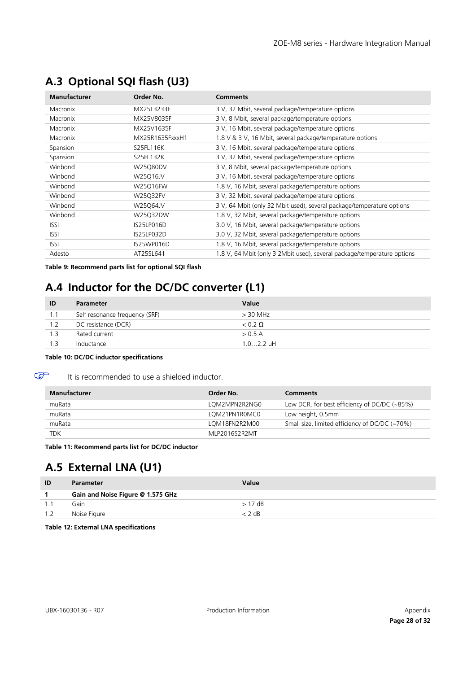| <b>Manufacturer</b> | Order No.       | <b>Comments</b>                                                         |
|---------------------|-----------------|-------------------------------------------------------------------------|
| Macronix            | MX25L3233F      | 3 V, 32 Mbit, several package/temperature options                       |
| Macronix            | MX25V8035F      | 3 V, 8 Mbit, several package/temperature options                        |
| Macronix            | MX25V1635F      | 3 V, 16 Mbit, several package/temperature options                       |
| Macronix            | MX25R1635FxxxH1 | 1.8 V & 3 V, 16 Mbit, several package/temperature options               |
| Spansion            | S25FL116K       | 3 V, 16 Mbit, several package/temperature options                       |
| Spansion            | S25FL132K       | 3 V, 32 Mbit, several package/temperature options                       |
| Winbond             | W25Q80DV        | 3 V, 8 Mbit, several package/temperature options                        |
| Winbond             | W25Q16JV        | 3 V, 16 Mbit, several package/temperature options                       |
| Winbond             | W25Q16FW        | 1.8 V, 16 Mbit, several package/temperature options                     |
| Winbond             | W25Q32FV        | 3 V, 32 Mbit, several package/temperature options                       |
| Winbond             | W25Q64JV        | 3 V, 64 Mbit (only 32 Mbit used), several package/temperature options   |
| Winbond             | W25Q32DW        | 1.8 V, 32 Mbit, several package/temperature options                     |
| <b>ISSI</b>         | IS25LP016D      | 3.0 V, 16 Mbit, several package/temperature options                     |
| <b>ISSI</b>         | IS25LP032D      | 3.0 V, 32 Mbit, several package/temperature options                     |
| <b>ISSI</b>         | IS25WP016D      | 1.8 V, 16 Mbit, several package/temperature options                     |
| Adesto              | AT25SL641       | 1.8 V, 64 Mbit (only 3 2Mbit used), several package/temperature options |

# <span id="page-27-0"></span>**A.3 Optional SQI flash (U3)**

<span id="page-27-3"></span>**Table 9: Recommend parts list for optional SQI flash**

# <span id="page-27-1"></span>**A.4 Inductor for the DC/DC converter (L1)**

| ID  | <b>Parameter</b>               | Value          |
|-----|--------------------------------|----------------|
| 1.1 | Self resonance frequency (SRF) | $>$ 30 MHz     |
| 1.2 | DC resistance (DCR)            | $< 0.2 \Omega$ |
| 1.3 | Rated current                  | > 0.5 A        |
| 1.3 | Inductance                     | $1.02.2 \mu H$ |

#### **Table 10: DC/DC inductor specifications**

It is recommended to use a shielded inductor.

| <b>Manufacturer</b> | Order No.     | <b>Comments</b>                                |
|---------------------|---------------|------------------------------------------------|
| muRata              | LOM2MPN2R2NG0 | Low DCR, for best efficiency of DC/DC (~85%)   |
| muRata              | LOM21PN1R0MC0 | Low height, 0.5mm                              |
| muRata              | LOM18FN2R2M00 | Small size, limited efficiency of DC/DC (~70%) |
| <b>TDK</b>          | MLP2016S2R2MT |                                                |

**Table 11: Recommend parts list for DC/DC inductor**

# <span id="page-27-2"></span>**A.5 External LNA (U1)**

| ID | <b>Parameter</b>                  | Value    |
|----|-----------------------------------|----------|
|    | Gain and Noise Figure @ 1.575 GHz |          |
|    | Gain                              | $>17$ dB |
|    | Noise Figure                      | $<$ 2 dB |

**Table 12: External LNA specifications**

 $\mathbb{G}$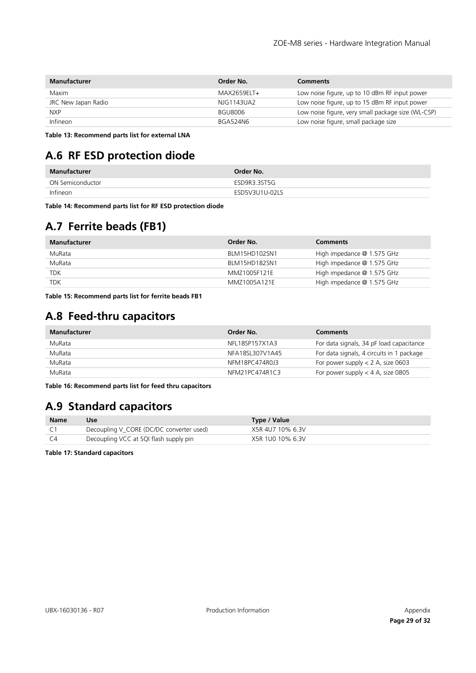| <b>Manufacturer</b> | Order No.      | <b>Comments</b>                                    |
|---------------------|----------------|----------------------------------------------------|
| Maxim               | MAX2659FI      | Low noise figure, up to 10 dBm RF input power      |
| JRC New Japan Radio | NJG1143UA2     | Low noise figure, up to 15 dBm RF input power      |
| NXP.                | <b>BGU8006</b> | Low noise figure, very small package size (WL-CSP) |
| Infineon            | BGA524N6       | Low noise figure, small package size               |

**Table 13: Recommend parts list for external LNA**

# <span id="page-28-0"></span>**A.6 RF ESD protection diode**

| Manufacturer     | Order No.      |
|------------------|----------------|
| ON Semiconductor | ESD9R3.3ST5G   |
| Infineon         | ESD5V3U1U-02LS |

**Table 14: Recommend parts list for RF ESD protection diode**

# <span id="page-28-1"></span>**A.7 Ferrite beads (FB1)**

| <b>Manufacturer</b> | Order No.     | <b>Comments</b>            |
|---------------------|---------------|----------------------------|
| MuRata              | BLM15HD102SN1 | High impedance @ 1.575 GHz |
| MuRata              | BLM15HD182SN1 | High impedance @ 1.575 GHz |
| <b>TDK</b>          | MMZ1005F121E  | High impedance @ 1.575 GHz |
| <b>TDK</b>          | MM71005A121F  | High impedance @ 1.575 GHz |

**Table 15: Recommend parts list for ferrite beads FB1**

# <span id="page-28-2"></span>**A.8 Feed-thru capacitors**

| Manufacturer | Order No.       | <b>Comments</b>                           |
|--------------|-----------------|-------------------------------------------|
| MuRata       | NFL18SP157X1A3  | For data signals, 34 pF load capacitance  |
| MuRata       | NFA18SL307V1A45 | For data signals, 4 circuits in 1 package |
| MuRata       | NFM18PC474R0J3  | For power supply $<$ 2 A, size 0603       |
| MuRata       | NFM21PC474R1C3  | For power supply $<$ 4 A, size 0805       |

<span id="page-28-4"></span>**Table 16: Recommend parts list for feed thru capacitors**

# <span id="page-28-3"></span>**A.9 Standard capacitors**

| <b>Name</b> | Use                                      | Type / Value     |
|-------------|------------------------------------------|------------------|
|             | Decoupling V_CORE (DC/DC converter used) | X5R 4U7 10% 6.3V |
|             | Decoupling VCC at SQI flash supply pin   | X5R 1U0 10% 6.3V |

**Table 17: Standard capacitors**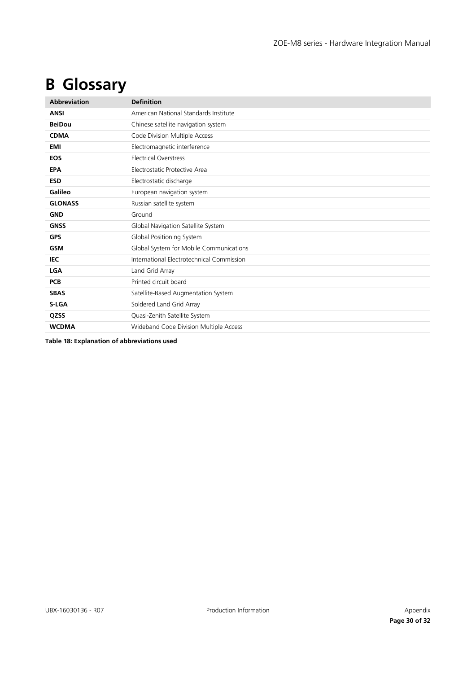# <span id="page-29-0"></span>**B Glossary**

| <b>Abbreviation</b> | <b>Definition</b>                         |
|---------------------|-------------------------------------------|
| <b>ANSI</b>         | American National Standards Institute     |
| <b>BeiDou</b>       | Chinese satellite navigation system       |
| <b>CDMA</b>         | Code Division Multiple Access             |
| EMI                 | Electromagnetic interference              |
| <b>EOS</b>          | <b>Electrical Overstress</b>              |
| <b>EPA</b>          | Electrostatic Protective Area             |
| <b>ESD</b>          | Electrostatic discharge                   |
| Galileo             | European navigation system                |
| <b>GLONASS</b>      | Russian satellite system                  |
| <b>GND</b>          | Ground                                    |
| <b>GNSS</b>         | Global Navigation Satellite System        |
| <b>GPS</b>          | Global Positioning System                 |
| <b>GSM</b>          | Global System for Mobile Communications   |
| IEC                 | International Electrotechnical Commission |
| <b>LGA</b>          | Land Grid Array                           |
| <b>PCB</b>          | Printed circuit board                     |
| <b>SBAS</b>         | Satellite-Based Augmentation System       |
| S-LGA               | Soldered Land Grid Array                  |
| QZSS                | Quasi-Zenith Satellite System             |
| <b>WCDMA</b>        | Wideband Code Division Multiple Access    |

**Table 18: Explanation of abbreviations used**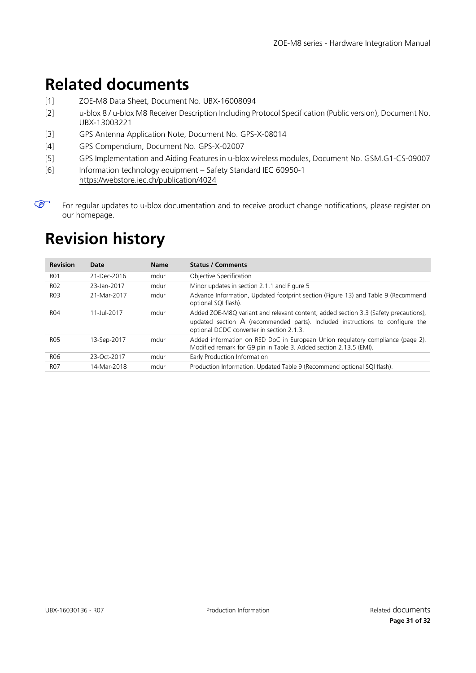# <span id="page-30-0"></span>**Related documents**

- <span id="page-30-2"></span>[1] ZOE-M8 Data Sheet, Document No. UBX-16008094
- <span id="page-30-4"></span>[2] u-blox 8 / u-blox M8 Receiver Description Including Protocol Specification (Public version), Document No. UBX-13003221
- <span id="page-30-5"></span>[3] GPS Antenna Application Note, Document No. GPS-X-08014
- [4] GPS Compendium, Document No. GPS-X-02007
- <span id="page-30-3"></span>[5] GPS Implementation and Aiding Features in u-blox wireless modules, Document No. GSM.G1-CS-09007
- <span id="page-30-6"></span>[6] Information technology equipment – Safety Standard IEC 60950-1 <https://webstore.iec.ch/publication/4024>
- $\mathbb{G}$ For regular updates to u-blox documentation and to receive product change notifications, please register on our homepage.

# <span id="page-30-1"></span>**Revision history**

| <b>Revision</b>  | Date        | <b>Name</b> | <b>Status / Comments</b>                                                                                                                                                                                                       |
|------------------|-------------|-------------|--------------------------------------------------------------------------------------------------------------------------------------------------------------------------------------------------------------------------------|
| <b>RO1</b>       | 21-Dec-2016 | mdur        | Objective Specification                                                                                                                                                                                                        |
| <b>RO2</b>       | 23-Jan-2017 | mdur        | Minor updates in section 2.1.1 and Figure 5                                                                                                                                                                                    |
| R <sub>0</sub> 3 | 21-Mar-2017 | mdur        | Advance Information, Updated footprint section (Figure 13) and Table 9 (Recommend<br>optional SQI flash).                                                                                                                      |
| R04              | 11-Jul-2017 | mdur        | Added ZOE-M8Q variant and relevant content, added section 3.3 (Safety precautions),<br>updated section $\overline{A}$ (recommended parts). Included instructions to configure the<br>optional DCDC converter in section 2.1.3. |
| <b>RO5</b>       | 13-Sep-2017 | mdur        | Added information on RED DoC in European Union regulatory compliance (page 2).<br>Modified remark for G9 pin in Table 3. Added section 2.13.5 (EMI).                                                                           |
| R06              | 23-Oct-2017 | mdur        | Early Production Information                                                                                                                                                                                                   |
| <b>RO7</b>       | 14-Mar-2018 | mdur        | Production Information. Updated Table 9 (Recommend optional SQI flash).                                                                                                                                                        |